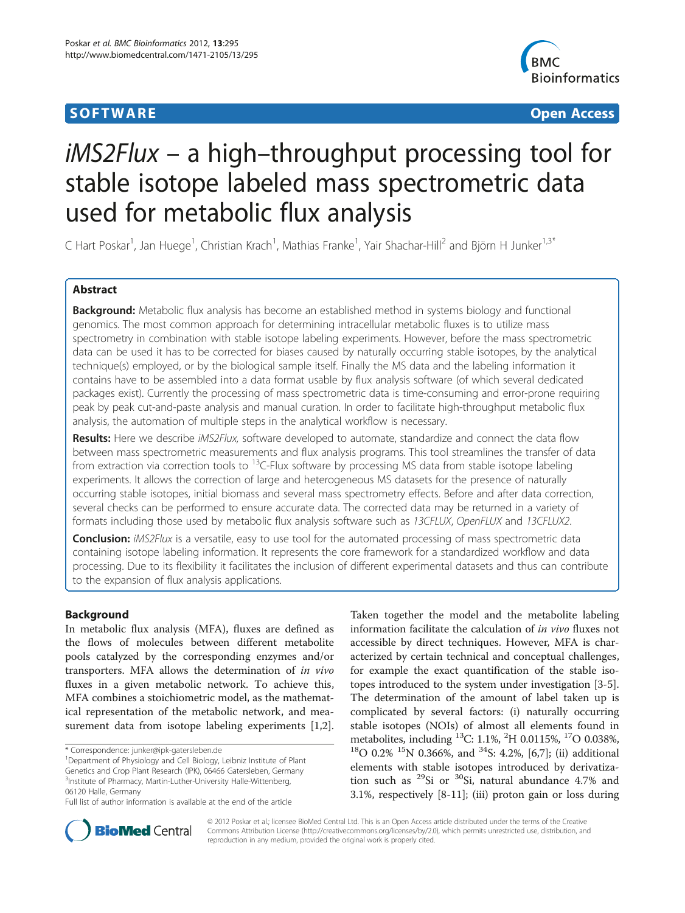## **SOFTWARE SOFTWARE** *CONSERVERSE EXECUTIVE EXECUTIVE EXECUTIVE EXECUTIVE EXECUTIVE EXECUTIVE EXECUTIVE EXECUTIVE EXECUTIVE EXECUTIVE EXECUTIVE EXECUTIVE EXECUTIVE EXECUTIVE EXECUTIVE EXECUTIVE EXECUTIVE EXECUTIVE EXECUT*



# iMS2Flux – a high–throughput processing tool for stable isotope labeled mass spectrometric data used for metabolic flux analysis

C Hart Poskar<sup>1</sup>, Jan Huege<sup>1</sup>, Christian Krach<sup>1</sup>, Mathias Franke<sup>1</sup>, Yair Shachar-Hill<sup>2</sup> and Björn H Junker<sup>1,3\*</sup>

## Abstract

Background: Metabolic flux analysis has become an established method in systems biology and functional genomics. The most common approach for determining intracellular metabolic fluxes is to utilize mass spectrometry in combination with stable isotope labeling experiments. However, before the mass spectrometric data can be used it has to be corrected for biases caused by naturally occurring stable isotopes, by the analytical technique(s) employed, or by the biological sample itself. Finally the MS data and the labeling information it contains have to be assembled into a data format usable by flux analysis software (of which several dedicated packages exist). Currently the processing of mass spectrometric data is time-consuming and error-prone requiring peak by peak cut-and-paste analysis and manual curation. In order to facilitate high-throughput metabolic flux analysis, the automation of multiple steps in the analytical workflow is necessary.

Results: Here we describe *iMS2Flux*, software developed to automate, standardize and connect the data flow between mass spectrometric measurements and flux analysis programs. This tool streamlines the transfer of data from extraction via correction tools to  $^{13}$ C-Flux software by processing MS data from stable isotope labeling experiments. It allows the correction of large and heterogeneous MS datasets for the presence of naturally occurring stable isotopes, initial biomass and several mass spectrometry effects. Before and after data correction, several checks can be performed to ensure accurate data. The corrected data may be returned in a variety of formats including those used by metabolic flux analysis software such as 13CFLUX, OpenFLUX and 13CFLUX2.

**Conclusion:** iMS2Flux is a versatile, easy to use tool for the automated processing of mass spectrometric data containing isotope labeling information. It represents the core framework for a standardized workflow and data processing. Due to its flexibility it facilitates the inclusion of different experimental datasets and thus can contribute to the expansion of flux analysis applications.

## Background

In metabolic flux analysis (MFA), fluxes are defined as the flows of molecules between different metabolite pools catalyzed by the corresponding enzymes and/or transporters. MFA allows the determination of in vivo fluxes in a given metabolic network. To achieve this, MFA combines a stoichiometric model, as the mathematical representation of the metabolic network, and measurement data from isotope labeling experiments [\[1,2](#page-8-0)].

Taken together the model and the metabolite labeling information facilitate the calculation of in vivo fluxes not accessible by direct techniques. However, MFA is characterized by certain technical and conceptual challenges, for example the exact quantification of the stable isotopes introduced to the system under investigation [[3-5](#page-8-0)]. The determination of the amount of label taken up is complicated by several factors: (i) naturally occurring stable isotopes (NOIs) of almost all elements found in metabolites, including <sup>13</sup>C: 1.1%, <sup>2</sup>H 0.0115%, <sup>17</sup>O 0.038%, <sup>18</sup>O 0.2% <sup>15</sup>N 0.366%, and <sup>34</sup>S: 4.2%, [\[6,7](#page-8-0)]; (ii) additional elements with stable isotopes introduced by derivatization such as  $^{29}$ Si or  $^{30}$ Si, natural abundance 4.7% and 3.1%, respectively [[8-11\]](#page-8-0); (iii) proton gain or loss during



© 2012 Poskar et al.; licensee BioMed Central Ltd. This is an Open Access article distributed under the terms of the Creative Commons Attribution License [\(http://creativecommons.org/licenses/by/2.0\)](http://creativecommons.org/licenses/by/2.0), which permits unrestricted use, distribution, and reproduction in any medium, provided the original work is properly cited.

<sup>\*</sup> Correspondence: [junker@ipk-gatersleben.de](mailto:junker@ipk-gatersleben.de) <sup>1</sup>

<sup>&</sup>lt;sup>1</sup>Department of Physiology and Cell Biology, Leibniz Institute of Plant Genetics and Crop Plant Research (IPK), 06466 Gatersleben, Germany <sup>3</sup>Institute of Pharmacy, Martin-Luther-University Halle-Wittenberg, 06120 Halle, Germany

Full list of author information is available at the end of the article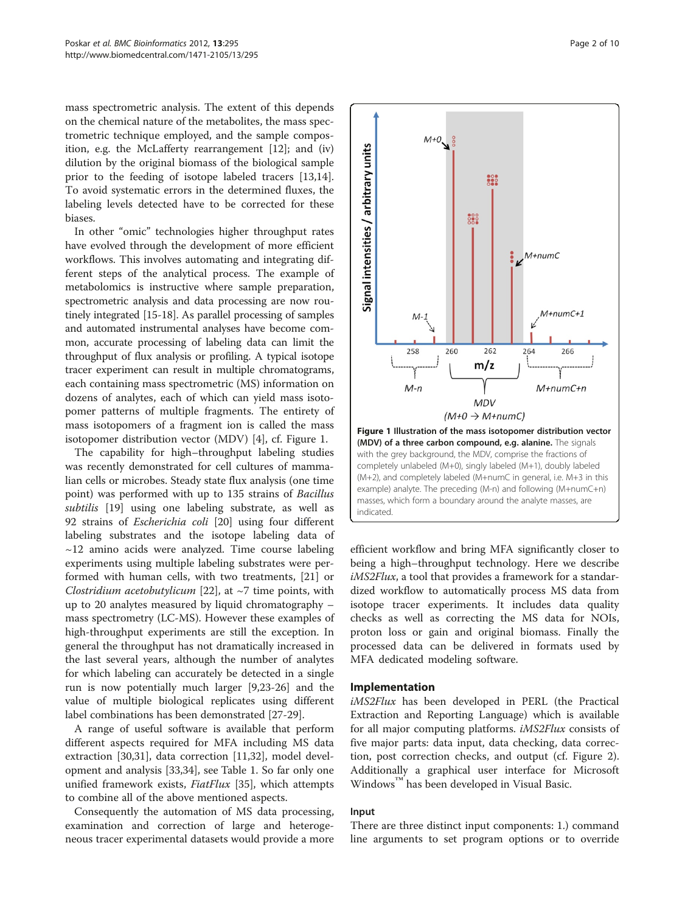<span id="page-1-0"></span>mass spectrometric analysis. The extent of this depends on the chemical nature of the metabolites, the mass spectrometric technique employed, and the sample composition, e.g. the McLafferty rearrangement [[12\]](#page-8-0); and (iv) dilution by the original biomass of the biological sample prior to the feeding of isotope labeled tracers [\[13,14](#page-8-0)]. To avoid systematic errors in the determined fluxes, the labeling levels detected have to be corrected for these biases.

In other "omic" technologies higher throughput rates have evolved through the development of more efficient workflows. This involves automating and integrating different steps of the analytical process. The example of metabolomics is instructive where sample preparation, spectrometric analysis and data processing are now routinely integrated [\[15](#page-8-0)-[18](#page-8-0)]. As parallel processing of samples and automated instrumental analyses have become common, accurate processing of labeling data can limit the throughput of flux analysis or profiling. A typical isotope tracer experiment can result in multiple chromatograms, each containing mass spectrometric (MS) information on dozens of analytes, each of which can yield mass isotopomer patterns of multiple fragments. The entirety of mass isotopomers of a fragment ion is called the mass isotopomer distribution vector (MDV) [[4\]](#page-8-0), cf. Figure 1.

The capability for high–throughput labeling studies was recently demonstrated for cell cultures of mammalian cells or microbes. Steady state flux analysis (one time point) was performed with up to 135 strains of Bacillus subtilis [[19\]](#page-8-0) using one labeling substrate, as well as 92 strains of Escherichia coli [\[20](#page-8-0)] using four different labeling substrates and the isotope labeling data of  $\sim$ 12 amino acids were analyzed. Time course labeling experiments using multiple labeling substrates were performed with human cells, with two treatments, [[21](#page-8-0)] or Clostridium acetobutylicum [[22\]](#page-8-0), at  $\sim$ 7 time points, with up to 20 analytes measured by liquid chromatography – mass spectrometry (LC-MS). However these examples of high-throughput experiments are still the exception. In general the throughput has not dramatically increased in the last several years, although the number of analytes for which labeling can accurately be detected in a single run is now potentially much larger [[9,23-26](#page-8-0)] and the value of multiple biological replicates using different label combinations has been demonstrated [\[27](#page-8-0)-[29\]](#page-8-0).

A range of useful software is available that perform different aspects required for MFA including MS data extraction [[30,31\]](#page-8-0), data correction [[11](#page-8-0),[32](#page-8-0)], model development and analysis [[33,34\]](#page-8-0), see Table [1](#page-2-0). So far only one unified framework exists, *FiatFlux* [\[35](#page-8-0)], which attempts to combine all of the above mentioned aspects.

Consequently the automation of MS data processing, examination and correction of large and heterogeneous tracer experimental datasets would provide a more



efficient workflow and bring MFA significantly closer to being a high–throughput technology. Here we describe iMS2Flux, a tool that provides a framework for a standardized workflow to automatically process MS data from isotope tracer experiments. It includes data quality checks as well as correcting the MS data for NOIs, proton loss or gain and original biomass. Finally the processed data can be delivered in formats used by MFA dedicated modeling software.

#### Implementation

iMS2Flux has been developed in PERL (the Practical Extraction and Reporting Language) which is available for all major computing platforms. iMS2Flux consists of five major parts: data input, data checking, data correction, post correction checks, and output (cf. Figure [2](#page-3-0)). Additionally a graphical user interface for Microsoft Windows™ has been developed in Visual Basic.

#### Input

There are three distinct input components: 1.) command line arguments to set program options or to override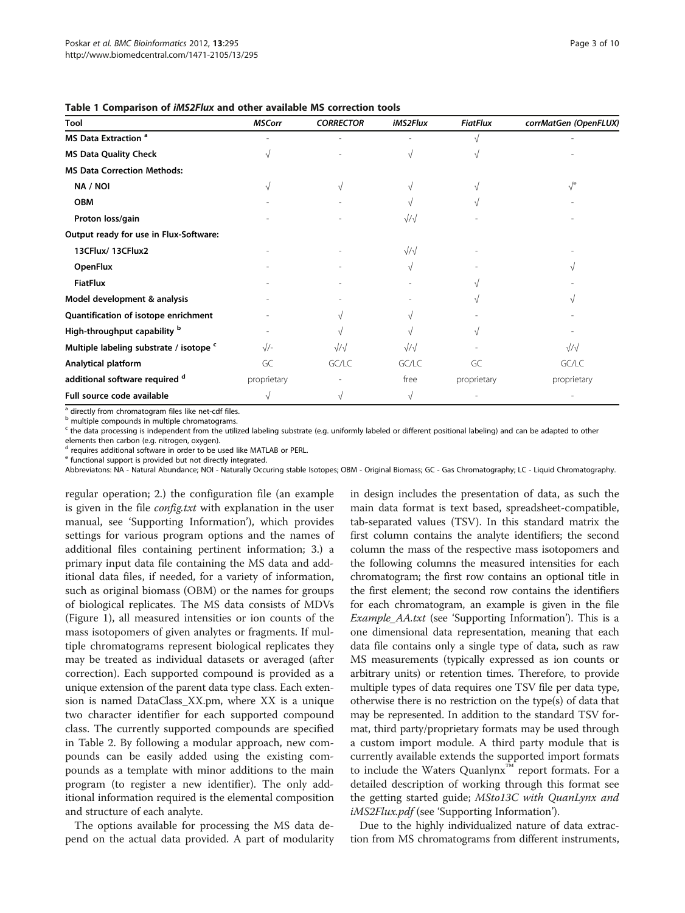<span id="page-2-0"></span>Table 1 Comparison of iMS2Flux and other available MS correction tools

| Tool                                    | <b>MSCorr</b> | <b>CORRECTOR</b> | iMS2Flux   | <b>FiatFlux</b> | corrMatGen (OpenFLUX) |
|-----------------------------------------|---------------|------------------|------------|-----------------|-----------------------|
| MS Data Extraction <sup>a</sup>         |               |                  |            |                 |                       |
| <b>MS Data Quality Check</b>            |               |                  |            |                 |                       |
| <b>MS Data Correction Methods:</b>      |               |                  |            |                 |                       |
| NA / NOI                                |               | $\sqrt{}$        | $\sqrt{ }$ |                 | $\sqrt{\rm e}$        |
| <b>OBM</b>                              |               |                  |            |                 |                       |
| Proton loss/gain                        |               |                  | $\sqrt{2}$ |                 |                       |
| Output ready for use in Flux-Software:  |               |                  |            |                 |                       |
| 13CFlux/ 13CFlux2                       |               |                  | $\sqrt{2}$ |                 |                       |
| <b>OpenFlux</b>                         |               |                  |            |                 |                       |
| <b>FiatFlux</b>                         |               |                  |            |                 |                       |
| Model development & analysis            |               |                  |            |                 |                       |
| Quantification of isotope enrichment    |               |                  |            |                 |                       |
| High-throughput capability b            |               |                  |            |                 |                       |
| Multiple labeling substrate / isotope c | $\sqrt{2}$    | $\sqrt{2}$       | $\sqrt{2}$ |                 | $\sqrt{2}$            |
| Analytical platform                     | GC            | GC/LC            | GC/LC      | GC              | GC/LC                 |
| additional software required d          | proprietary   |                  | free       | proprietary     | proprietary           |
| Full source code available              |               |                  | V          |                 |                       |

<sup>a</sup> directly from chromatogram files like net-cdf files.

multiple compounds in multiple chromatograms.

 $c$  the data processing is independent from the utilized labeling substrate (e.g. uniformly labeled or different positional labeling) and can be adapted to other

elements then carbon (e.g. nitrogen, oxygen). requires additional software in order to be used like MATLAB or PERL.

e functional support is provided but not directly integrated.

Abbreviatons: NA - Natural Abundance; NOI - Naturally Occuring stable Isotopes; OBM - Original Biomass; GC - Gas Chromatography; LC - Liquid Chromatography.

regular operation; 2.) the configuration file (an example is given in the file config.txt with explanation in the user manual, see 'Supporting Information'), which provides settings for various program options and the names of additional files containing pertinent information; 3.) a primary input data file containing the MS data and additional data files, if needed, for a variety of information, such as original biomass (OBM) or the names for groups of biological replicates. The MS data consists of MDVs (Figure [1](#page-1-0)), all measured intensities or ion counts of the mass isotopomers of given analytes or fragments. If multiple chromatograms represent biological replicates they may be treated as individual datasets or averaged (after correction). Each supported compound is provided as a unique extension of the parent data type class. Each extension is named DataClass\_XX.pm, where XX is a unique two character identifier for each supported compound class. The currently supported compounds are specified in Table [2.](#page-4-0) By following a modular approach, new compounds can be easily added using the existing compounds as a template with minor additions to the main program (to register a new identifier). The only additional information required is the elemental composition and structure of each analyte.

The options available for processing the MS data depend on the actual data provided. A part of modularity in design includes the presentation of data, as such the main data format is text based, spreadsheet-compatible, tab-separated values (TSV). In this standard matrix the first column contains the analyte identifiers; the second column the mass of the respective mass isotopomers and the following columns the measured intensities for each chromatogram; the first row contains an optional title in the first element; the second row contains the identifiers for each chromatogram, an example is given in the file Example\_AA.txt (see 'Supporting Information'). This is a one dimensional data representation, meaning that each data file contains only a single type of data, such as raw MS measurements (typically expressed as ion counts or arbitrary units) or retention times. Therefore, to provide multiple types of data requires one TSV file per data type, otherwise there is no restriction on the type(s) of data that may be represented. In addition to the standard TSV format, third party/proprietary formats may be used through a custom import module. A third party module that is currently available extends the supported import formats to include the Waters Quanlynx™ report formats. For a detailed description of working through this format see the getting started guide; MSto13C with QuanLynx and iMS2Flux.pdf (see 'Supporting Information').

Due to the highly individualized nature of data extraction from MS chromatograms from different instruments,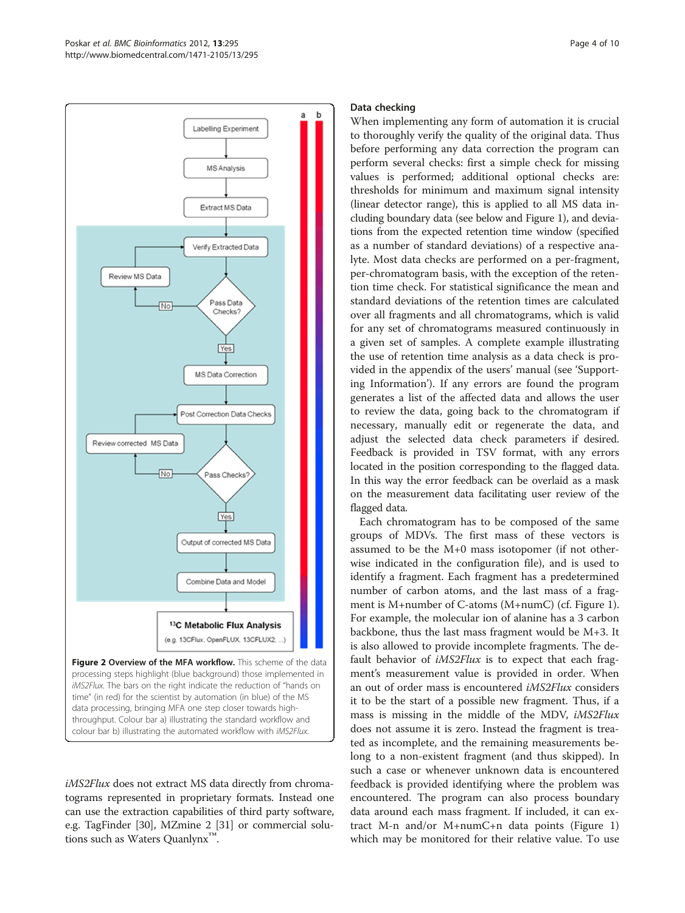<span id="page-3-0"></span>

iMS2Flux does not extract MS data directly from chromatograms represented in proprietary formats. Instead one can use the extraction capabilities of third party software, e.g. TagFinder [[30\]](#page-8-0), MZmine 2 [[31](#page-8-0)] or commercial solutions such as Waters Quanlynx™.

#### Data checking

When implementing any form of automation it is crucial to thoroughly verify the quality of the original data. Thus before performing any data correction the program can perform several checks: first a simple check for missing values is performed; additional optional checks are: thresholds for minimum and maximum signal intensity (linear detector range), this is applied to all MS data including boundary data (see below and Figure [1\)](#page-1-0), and deviations from the expected retention time window (specified as a number of standard deviations) of a respective analyte. Most data checks are performed on a per-fragment, per-chromatogram basis, with the exception of the retention time check. For statistical significance the mean and standard deviations of the retention times are calculated over all fragments and all chromatograms, which is valid for any set of chromatograms measured continuously in a given set of samples. A complete example illustrating the use of retention time analysis as a data check is provided in the appendix of the users' manual (see 'Supporting Information'). If any errors are found the program generates a list of the affected data and allows the user to review the data, going back to the chromatogram if necessary, manually edit or regenerate the data, and adjust the selected data check parameters if desired. Feedback is provided in TSV format, with any errors located in the position corresponding to the flagged data. In this way the error feedback can be overlaid as a mask on the measurement data facilitating user review of the flagged data.

Each chromatogram has to be composed of the same groups of MDVs. The first mass of these vectors is assumed to be the M+0 mass isotopomer (if not otherwise indicated in the configuration file), and is used to identify a fragment. Each fragment has a predetermined number of carbon atoms, and the last mass of a fragment is M+number of C-atoms (M+numC) (cf. Figure [1](#page-1-0)). For example, the molecular ion of alanine has a 3 carbon backbone, thus the last mass fragment would be M+3. It is also allowed to provide incomplete fragments. The default behavior of *iMS2Flux* is to expect that each fragment's measurement value is provided in order. When an out of order mass is encountered iMS2Flux considers it to be the start of a possible new fragment. Thus, if a mass is missing in the middle of the MDV, iMS2Flux does not assume it is zero. Instead the fragment is treated as incomplete, and the remaining measurements belong to a non-existent fragment (and thus skipped). In such a case or whenever unknown data is encountered feedback is provided identifying where the problem was encountered. The program can also process boundary data around each mass fragment. If included, it can extract M-n and/or M+numC+n data points (Figure [1](#page-1-0)) which may be monitored for their relative value. To use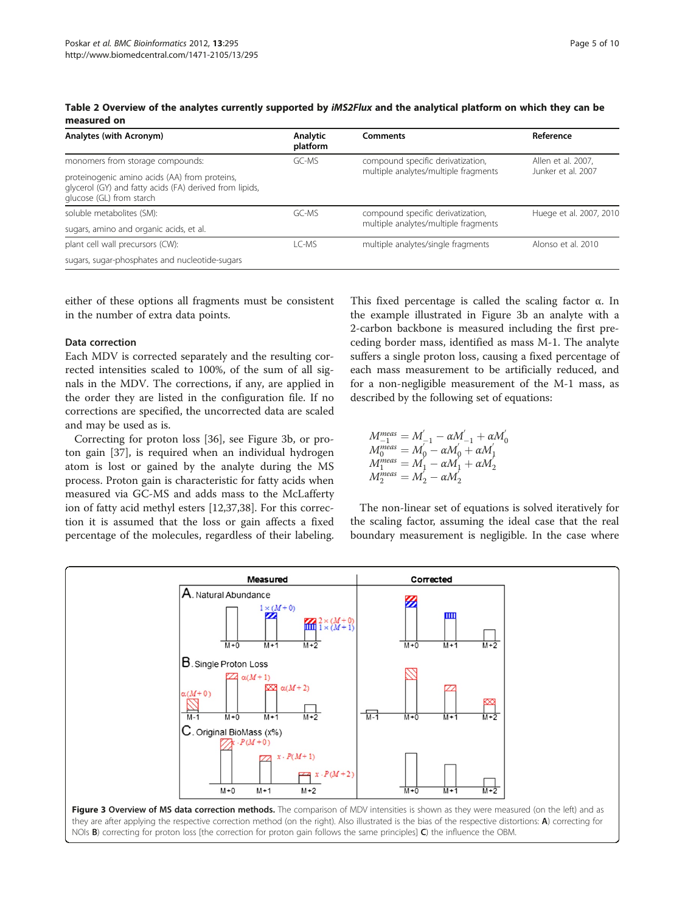| Analytes (with Acronym)                                                                                                              | Analytic<br>platform | Comments                             | Reference               |  |
|--------------------------------------------------------------------------------------------------------------------------------------|----------------------|--------------------------------------|-------------------------|--|
| monomers from storage compounds:                                                                                                     | $GC-MS$              | compound specific derivatization,    | Allen et al. 2007,      |  |
| proteinogenic amino acids (AA) from proteins,<br>glycerol (GY) and fatty acids (FA) derived from lipids,<br>glucose (GL) from starch |                      | multiple analytes/multiple fragments | Junker et al. 2007      |  |
| soluble metabolites (SM):                                                                                                            | GC-MS                | compound specific derivatization,    | Huege et al. 2007, 2010 |  |
| sugars, amino and organic acids, et al.                                                                                              |                      | multiple analytes/multiple fragments |                         |  |
| plant cell wall precursors (CW):                                                                                                     | I C-MS               | multiple analytes/single fragments   | Alonso et al. 2010      |  |
| sugars, sugar-phosphates and nucleotide-sugars                                                                                       |                      |                                      |                         |  |

<span id="page-4-0"></span>Table 2 Overview of the analytes currently supported by iMS2Flux and the analytical platform on which they can be measured on

either of these options all fragments must be consistent in the number of extra data points.

#### Data correction

Each MDV is corrected separately and the resulting corrected intensities scaled to 100%, of the sum of all signals in the MDV. The corrections, if any, are applied in the order they are listed in the configuration file. If no corrections are specified, the uncorrected data are scaled and may be used as is.

Correcting for proton loss [[36](#page-8-0)], see Figure 3b, or proton gain [\[37\]](#page-8-0), is required when an individual hydrogen atom is lost or gained by the analyte during the MS process. Proton gain is characteristic for fatty acids when measured via GC-MS and adds mass to the McLafferty ion of fatty acid methyl esters [[12](#page-8-0),[37](#page-8-0),[38](#page-8-0)]. For this correction it is assumed that the loss or gain affects a fixed percentage of the molecules, regardless of their labeling.

This fixed percentage is called the scaling factor α. In the example illustrated in Figure 3b an analyte with a 2-carbon backbone is measured including the first preceding border mass, identified as mass M-1. The analyte suffers a single proton loss, causing a fixed percentage of each mass measurement to be artificially reduced, and for a non-negligible measurement of the M-1 mass, as described by the following set of equations:

$$
\begin{array}{l} M_{-1}^{meas}=M_{-1}^{'}-\alpha M_{-1}^{'}+\alpha M_{0}^{'}\\ M_{0}^{meas}=M_{0}^{'}-\alpha M_{0}^{'}+\alpha M_{1}^{'}\\ M_{1}^{meas}=M_{1}^{'}-\alpha M_{1}^{'}+\alpha M_{2}^{'}\\ M_{2}^{meas}=M_{2}^{'}-\alpha M_{2}^{'} \end{array}
$$

The non-linear set of equations is solved iteratively for the scaling factor, assuming the ideal case that the real boundary measurement is negligible. In the case where

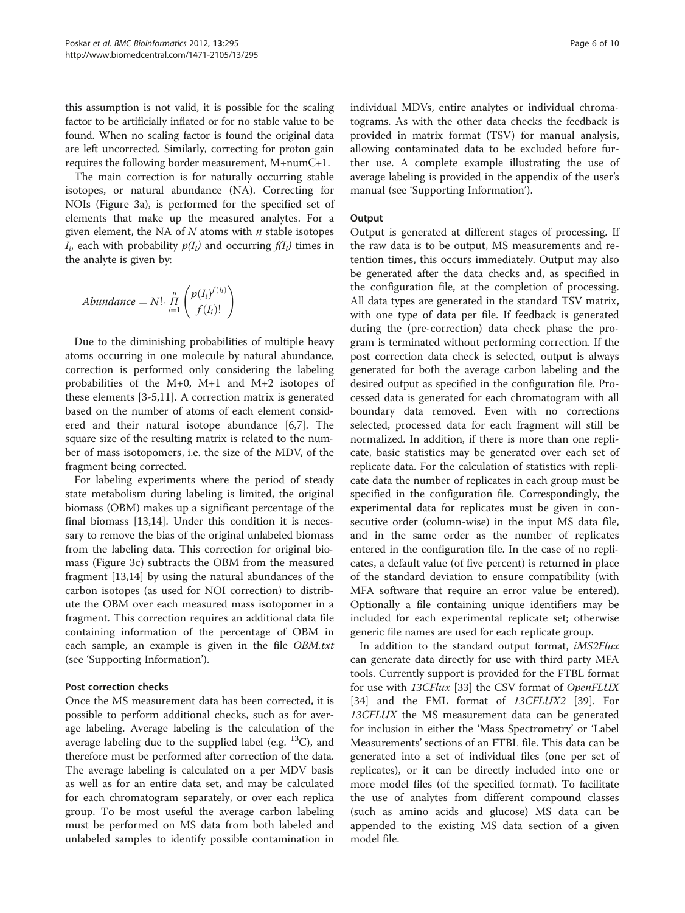this assumption is not valid, it is possible for the scaling factor to be artificially inflated or for no stable value to be found. When no scaling factor is found the original data are left uncorrected. Similarly, correcting for proton gain requires the following border measurement, M+numC+1.

The main correction is for naturally occurring stable isotopes, or natural abundance (NA). Correcting for NOIs (Figure [3a](#page-4-0)), is performed for the specified set of elements that make up the measured analytes. For a given element, the NA of  $N$  atoms with  $n$  stable isotopes  $I_i$ , each with probability  $p(I_i)$  and occurring  $f(I_i)$  times in the analyte is given by:

$$
Abundance = N! \cdot \prod_{i=1}^{n} \left( \frac{p(I_i)^{f(I_i)}}{f(I_i)!} \right)
$$

Due to the diminishing probabilities of multiple heavy atoms occurring in one molecule by natural abundance, correction is performed only considering the labeling probabilities of the M+0, M+1 and M+2 isotopes of these elements [\[3](#page-8-0)-[5,11\]](#page-8-0). A correction matrix is generated based on the number of atoms of each element considered and their natural isotope abundance [[6,7\]](#page-8-0). The square size of the resulting matrix is related to the number of mass isotopomers, i.e. the size of the MDV, of the fragment being corrected.

For labeling experiments where the period of steady state metabolism during labeling is limited, the original biomass (OBM) makes up a significant percentage of the final biomass [\[13,14](#page-8-0)]. Under this condition it is necessary to remove the bias of the original unlabeled biomass from the labeling data. This correction for original biomass (Figure [3c](#page-4-0)) subtracts the OBM from the measured fragment [\[13,14\]](#page-8-0) by using the natural abundances of the carbon isotopes (as used for NOI correction) to distribute the OBM over each measured mass isotopomer in a fragment. This correction requires an additional data file containing information of the percentage of OBM in each sample, an example is given in the file OBM.txt (see 'Supporting Information').

#### Post correction checks

Once the MS measurement data has been corrected, it is possible to perform additional checks, such as for average labeling. Average labeling is the calculation of the average labeling due to the supplied label (e.g.  $^{13}C$ ), and therefore must be performed after correction of the data. The average labeling is calculated on a per MDV basis as well as for an entire data set, and may be calculated for each chromatogram separately, or over each replica group. To be most useful the average carbon labeling must be performed on MS data from both labeled and unlabeled samples to identify possible contamination in individual MDVs, entire analytes or individual chromatograms. As with the other data checks the feedback is provided in matrix format (TSV) for manual analysis, allowing contaminated data to be excluded before further use. A complete example illustrating the use of average labeling is provided in the appendix of the user's manual (see 'Supporting Information').

### **Output**

Output is generated at different stages of processing. If the raw data is to be output, MS measurements and retention times, this occurs immediately. Output may also be generated after the data checks and, as specified in the configuration file, at the completion of processing. All data types are generated in the standard TSV matrix, with one type of data per file. If feedback is generated during the (pre-correction) data check phase the program is terminated without performing correction. If the post correction data check is selected, output is always generated for both the average carbon labeling and the desired output as specified in the configuration file. Processed data is generated for each chromatogram with all boundary data removed. Even with no corrections selected, processed data for each fragment will still be normalized. In addition, if there is more than one replicate, basic statistics may be generated over each set of replicate data. For the calculation of statistics with replicate data the number of replicates in each group must be specified in the configuration file. Correspondingly, the experimental data for replicates must be given in consecutive order (column-wise) in the input MS data file, and in the same order as the number of replicates entered in the configuration file. In the case of no replicates, a default value (of five percent) is returned in place of the standard deviation to ensure compatibility (with MFA software that require an error value be entered). Optionally a file containing unique identifiers may be included for each experimental replicate set; otherwise generic file names are used for each replicate group.

In addition to the standard output format, *iMS2Flux* can generate data directly for use with third party MFA tools. Currently support is provided for the FTBL format for use with 13CFlux [[33\]](#page-8-0) the CSV format of OpenFLUX [[34\]](#page-8-0) and the FML format of 13CFLUX2 [\[39](#page-8-0)]. For 13CFLUX the MS measurement data can be generated for inclusion in either the 'Mass Spectrometry' or 'Label Measurements' sections of an FTBL file. This data can be generated into a set of individual files (one per set of replicates), or it can be directly included into one or more model files (of the specified format). To facilitate the use of analytes from different compound classes (such as amino acids and glucose) MS data can be appended to the existing MS data section of a given model file.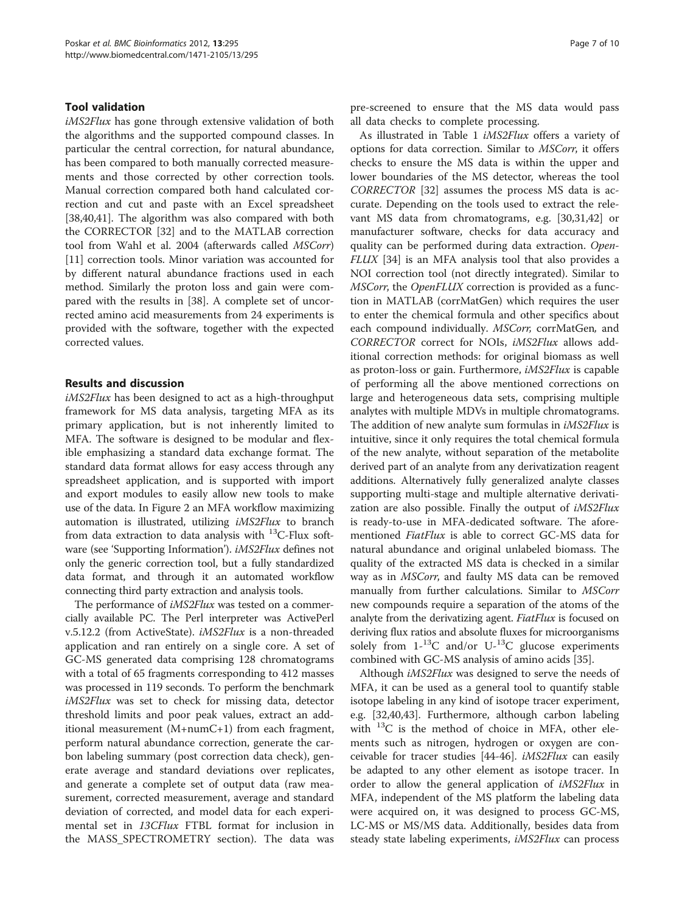#### Tool validation

iMS2Flux has gone through extensive validation of both the algorithms and the supported compound classes. In particular the central correction, for natural abundance, has been compared to both manually corrected measurements and those corrected by other correction tools. Manual correction compared both hand calculated correction and cut and paste with an Excel spreadsheet [[38,40,41\]](#page-8-0). The algorithm was also compared with both the CORRECTOR [\[32](#page-8-0)] and to the MATLAB correction tool from Wahl et al. 2004 (afterwards called MSCorr) [[11\]](#page-8-0) correction tools. Minor variation was accounted for by different natural abundance fractions used in each method. Similarly the proton loss and gain were compared with the results in [\[38](#page-8-0)]. A complete set of uncorrected amino acid measurements from 24 experiments is provided with the software, together with the expected corrected values.

#### Results and discussion

iMS2Flux has been designed to act as a high-throughput framework for MS data analysis, targeting MFA as its primary application, but is not inherently limited to MFA. The software is designed to be modular and flexible emphasizing a standard data exchange format. The standard data format allows for easy access through any spreadsheet application, and is supported with import and export modules to easily allow new tools to make use of the data. In Figure [2](#page-3-0) an MFA workflow maximizing automation is illustrated, utilizing iMS2Flux to branch from data extraction to data analysis with  $^{13}$ C-Flux software (see 'Supporting Information'). iMS2Flux defines not only the generic correction tool, but a fully standardized data format, and through it an automated workflow connecting third party extraction and analysis tools.

The performance of *iMS2Flux* was tested on a commercially available PC. The Perl interpreter was ActivePerl v.5.12.2 (from ActiveState). iMS2Flux is a non-threaded application and ran entirely on a single core. A set of GC-MS generated data comprising 128 chromatograms with a total of 65 fragments corresponding to 412 masses was processed in 119 seconds. To perform the benchmark iMS2Flux was set to check for missing data, detector threshold limits and poor peak values, extract an additional measurement (M+numC+1) from each fragment, perform natural abundance correction, generate the carbon labeling summary (post correction data check), generate average and standard deviations over replicates, and generate a complete set of output data (raw measurement, corrected measurement, average and standard deviation of corrected, and model data for each experimental set in 13CFlux FTBL format for inclusion in the MASS\_SPECTROMETRY section). The data was

pre-screened to ensure that the MS data would pass all data checks to complete processing.

As illustrated in Table [1](#page-2-0) iMS2Flux offers a variety of options for data correction. Similar to MSCorr, it offers checks to ensure the MS data is within the upper and lower boundaries of the MS detector, whereas the tool CORRECTOR [[32\]](#page-8-0) assumes the process MS data is accurate. Depending on the tools used to extract the relevant MS data from chromatograms, e.g. [[30](#page-8-0),[31](#page-8-0),[42](#page-9-0)] or manufacturer software, checks for data accuracy and quality can be performed during data extraction. Open-FLUX [[34\]](#page-8-0) is an MFA analysis tool that also provides a NOI correction tool (not directly integrated). Similar to MSCorr, the OpenFLUX correction is provided as a function in MATLAB (corrMatGen) which requires the user to enter the chemical formula and other specifics about each compound individually. MSCorr, corrMatGen, and CORRECTOR correct for NOIs, iMS2Flux allows additional correction methods: for original biomass as well as proton-loss or gain. Furthermore, iMS2Flux is capable of performing all the above mentioned corrections on large and heterogeneous data sets, comprising multiple analytes with multiple MDVs in multiple chromatograms. The addition of new analyte sum formulas in *iMS2Flux* is intuitive, since it only requires the total chemical formula of the new analyte, without separation of the metabolite derived part of an analyte from any derivatization reagent additions. Alternatively fully generalized analyte classes supporting multi-stage and multiple alternative derivatization are also possible. Finally the output of *iMS2Flux* is ready-to-use in MFA-dedicated software. The aforementioned FiatFlux is able to correct GC-MS data for natural abundance and original unlabeled biomass. The quality of the extracted MS data is checked in a similar way as in MSCorr, and faulty MS data can be removed manually from further calculations. Similar to MSCorr new compounds require a separation of the atoms of the analyte from the derivatizing agent. FiatFlux is focused on deriving flux ratios and absolute fluxes for microorganisms solely from  $1-13C$  and/or  $U^{-13}C$  glucose experiments combined with GC-MS analysis of amino acids [[35\]](#page-8-0).

Although *iMS2Flux* was designed to serve the needs of MFA, it can be used as a general tool to quantify stable isotope labeling in any kind of isotope tracer experiment, e.g. [[32,40,](#page-8-0)[43\]](#page-9-0). Furthermore, although carbon labeling with  $^{13}C$  is the method of choice in MFA, other elements such as nitrogen, hydrogen or oxygen are conceivable for tracer studies [\[44-46](#page-9-0)]. iMS2Flux can easily be adapted to any other element as isotope tracer. In order to allow the general application of *iMS2Flux* in MFA, independent of the MS platform the labeling data were acquired on, it was designed to process GC-MS, LC-MS or MS/MS data. Additionally, besides data from steady state labeling experiments, iMS2Flux can process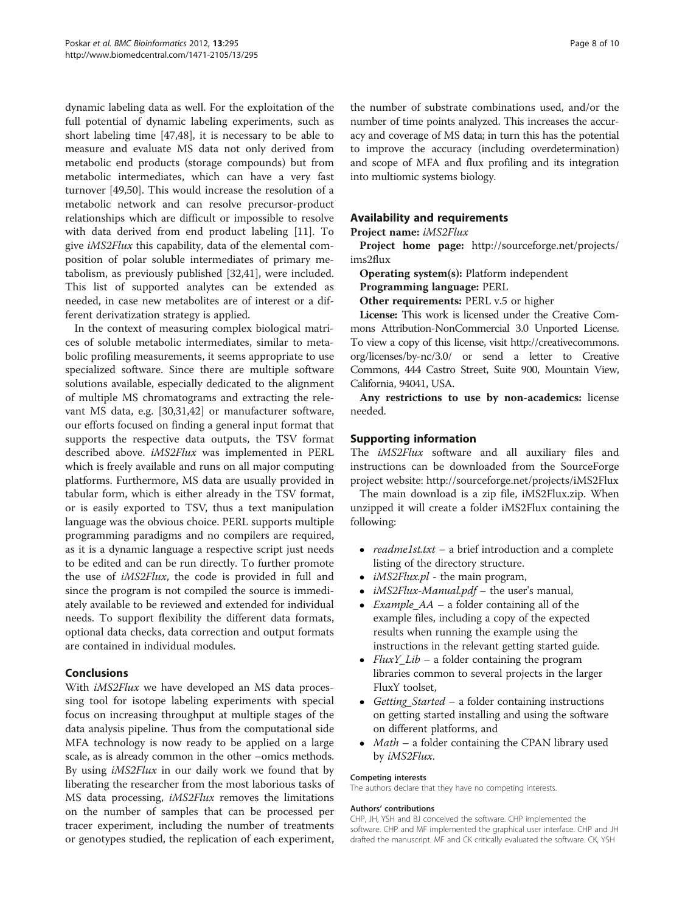dynamic labeling data as well. For the exploitation of the full potential of dynamic labeling experiments, such as short labeling time [[47,48](#page-9-0)], it is necessary to be able to measure and evaluate MS data not only derived from metabolic end products (storage compounds) but from metabolic intermediates, which can have a very fast turnover [\[49,50](#page-9-0)]. This would increase the resolution of a metabolic network and can resolve precursor-product relationships which are difficult or impossible to resolve with data derived from end product labeling [[11\]](#page-8-0). To give iMS2Flux this capability, data of the elemental composition of polar soluble intermediates of primary metabolism, as previously published [\[32,41\]](#page-8-0), were included. This list of supported analytes can be extended as needed, in case new metabolites are of interest or a different derivatization strategy is applied.

In the context of measuring complex biological matrices of soluble metabolic intermediates, similar to metabolic profiling measurements, it seems appropriate to use specialized software. Since there are multiple software solutions available, especially dedicated to the alignment of multiple MS chromatograms and extracting the relevant MS data, e.g. [[30,31,](#page-8-0)[42\]](#page-9-0) or manufacturer software, our efforts focused on finding a general input format that supports the respective data outputs, the TSV format described above. iMS2Flux was implemented in PERL which is freely available and runs on all major computing platforms. Furthermore, MS data are usually provided in tabular form, which is either already in the TSV format, or is easily exported to TSV, thus a text manipulation language was the obvious choice. PERL supports multiple programming paradigms and no compilers are required, as it is a dynamic language a respective script just needs to be edited and can be run directly. To further promote the use of iMS2Flux, the code is provided in full and since the program is not compiled the source is immediately available to be reviewed and extended for individual needs. To support flexibility the different data formats, optional data checks, data correction and output formats are contained in individual modules.

## Conclusions

With *iMS2Flux* we have developed an MS data processing tool for isotope labeling experiments with special focus on increasing throughput at multiple stages of the data analysis pipeline. Thus from the computational side MFA technology is now ready to be applied on a large scale, as is already common in the other –omics methods. By using *iMS2Flux* in our daily work we found that by liberating the researcher from the most laborious tasks of MS data processing, *iMS2Flux* removes the limitations on the number of samples that can be processed per tracer experiment, including the number of treatments or genotypes studied, the replication of each experiment,

the number of substrate combinations used, and/or the number of time points analyzed. This increases the accuracy and coverage of MS data; in turn this has the potential to improve the accuracy (including overdetermination) and scope of MFA and flux profiling and its integration into multiomic systems biology.

## Availability and requirements

#### Project name: iMS2Flux

Project home page: [http://sourceforge.net/projects/](http://www.sourceforge.net/projects/ims2flux) [ims2flux](http://www.sourceforge.net/projects/ims2flux)

Operating system(s): Platform independent

Programming language: PERL

Other requirements: PERL v.5 or higher

License: This work is licensed under the Creative Commons Attribution-NonCommercial 3.0 Unported License. To view a copy of this license, visit [http://creativecommons.](http://www.creativecommons.org/licenses/by-nc/3.0/) [org/licenses/by-nc/3.0/](http://www.creativecommons.org/licenses/by-nc/3.0/) or send a letter to Creative Commons, 444 Castro Street, Suite 900, Mountain View, California, 94041, USA.

Any restrictions to use by non-academics: license needed.

## Supporting information

The *iMS2Flux* software and all auxiliary files and instructions can be downloaded from the SourceForge project website: [http://sourceforge.net/projects/iMS2Flux](http://www.sourceforge.net/projects/iMS2Flux)

The main download is a zip file, iMS2Flux.zip. When unzipped it will create a folder iMS2Flux containing the following:

- readme1st.txt a brief introduction and a complete listing of the directory structure.
- *iMS2Flux.pl* the main program,
- *iMS2Flux-Manual.pdf* the user's manual,
- *Example\_AA* a folder containing all of the example files, including a copy of the expected results when running the example using the instructions in the relevant getting started guide.
- $FluxY\_Lib a$  folder containing the program libraries common to several projects in the larger FluxY toolset,
- Getting\_Started a folder containing instructions on getting started installing and using the software on different platforms, and
- $•$  *Math* a folder containing the CPAN library used by iMS2Flux.

#### Competing interests

The authors declare that they have no competing interests.

#### Authors' contributions

CHP, JH, YSH and BJ conceived the software. CHP implemented the software. CHP and MF implemented the graphical user interface. CHP and JH drafted the manuscript. MF and CK critically evaluated the software. CK, YSH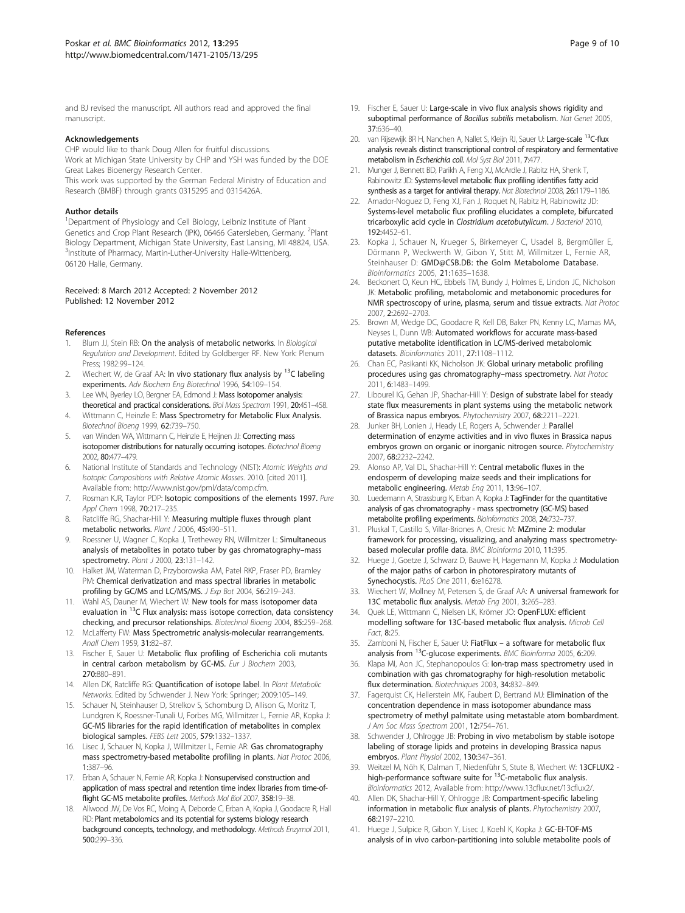#### Acknowledgements

<span id="page-8-0"></span>manuscript.

CHP would like to thank Doug Allen for fruitful discussions.

Work at Michigan State University by CHP and YSH was funded by the DOE Great Lakes Bioenergy Research Center.

This work was supported by the German Federal Ministry of Education and Research (BMBF) through grants 0315295 and 0315426A.

#### Author details

<sup>1</sup>Department of Physiology and Cell Biology, Leibniz Institute of Plant Genetics and Crop Plant Research (IPK), 06466 Gatersleben, Germany. <sup>2</sup>Plant Biology Department, Michigan State University, East Lansing, MI 48824, USA. <sup>3</sup>Institute of Pharmacy, Martin-Luther-University Halle-Wittenberg, 06120 Halle, Germany.

#### Received: 8 March 2012 Accepted: 2 November 2012 Published: 12 November 2012

#### References

- 1. Blum JJ, Stein RB: On the analysis of metabolic networks. In Biological Regulation and Development. Edited by Goldberger RF. New York: Plenum Press; 1982:99–124.
- 2. Wiechert W, de Graaf AA: In vivo stationary flux analysis by  $13C$  labeling experiments. Adv Biochem Eng Biotechnol 1996, 54:109–154.
- 3. Lee WN, Byerley LO, Bergner EA, Edmond J: Mass Isotopomer analysis: theoretical and practical considerations. Biol Mass Spectrom 1991, 20:451–458.
- 4. Wittmann C, Heinzle E: Mass Spectrometry for Metabolic Flux Analysis. Biotechnol Bioeng 1999, 62:739–750.
- 5. van Winden WA, Wittmann C, Heinzle E, Heijnen JJ: Correcting mass isotopomer distributions for naturally occurring isotopes. Biotechnol Bioeng 2002, 80:477–479.
- 6. National Institute of Standards and Technology (NIST): Atomic Weights and Isotopic Compositions with Relative Atomic Masses. 2010. [cited 2011]. Available from: [http://www.nist.gov/pml/data/comp.cfm.](http://www.nist.gov/pml/data/comp.cfm)
- 7. Rosman KJR, Taylor PDP: Isotopic compositions of the elements 1997. Pure Appl Chem 1998, 70:217–235.
- 8. Ratcliffe RG, Shachar-Hill Y: Measuring multiple fluxes through plant metabolic networks. Plant J 2006, 45:490–511.
- 9. Roessner U, Wagner C, Kopka J, Trethewey RN, Willmitzer L: Simultaneous analysis of metabolites in potato tuber by gas chromatography–mass spectrometry. Plant J 2000, 23:131-142.
- 10. Halket JM, Waterman D, Przyborowska AM, Patel RKP, Fraser PD, Bramley PM: Chemical derivatization and mass spectral libraries in metabolic profiling by GC/MS and LC/MS/MS. J Exp Bot 2004, 56:219–243.
- 11. Wahl AS, Dauner M, Wiechert W: New tools for mass isotopomer data evaluation in <sup>13</sup>C Flux analysis: mass isotope correction, data consistency checking, and precursor relationships. Biotechnol Bioeng 2004, 85:259–268.
- 12. McLafferty FW: Mass Spectrometric analysis-molecular rearrangements. Anall Chem 1959, 31:82–87.
- 13. Fischer E, Sauer U: Metabolic flux profiling of Escherichia coli mutants in central carbon metabolism by GC-MS. Eur J Biochem 2003, 270:880–891.
- 14. Allen DK, Ratcliffe RG: Quantification of isotope label. In Plant Metabolic Networks. Edited by Schwender J. New York: Springer; 2009:105–149.
- 15. Schauer N, Steinhauser D, Strelkov S, Schomburg D, Allison G, Moritz T, Lundgren K, Roessner-Tunali U, Forbes MG, Willmitzer L, Fernie AR, Kopka J: GC-MS libraries for the rapid identification of metabolites in complex biological samples. FEBS Lett 2005, 579:1332–1337.
- 16. Lisec J, Schauer N, Kopka J, Willmitzer L, Fernie AR: Gas chromatography mass spectrometry-based metabolite profiling in plants. Nat Protoc 2006, 1:387–96.
- 17. Erban A, Schauer N, Fernie AR, Kopka J: Nonsupervised construction and application of mass spectral and retention time index libraries from time-offlight GC-MS metabolite profiles. Methods Mol Biol 2007, 358:19–38.
- 18. Allwood JW, De Vos RC, Moing A, Deborde C, Erban A, Kopka J, Goodacre R, Hall RD: Plant metabolomics and its potential for systems biology research background concepts, technology, and methodology. Methods Enzymol 2011, 500:299–336.
- 19. Fischer E, Sauer U: Large-scale in vivo flux analysis shows rigidity and suboptimal performance of Bacillus subtilis metabolism. Nat Genet 2005, 37:636–40.
- 20. van Rijsewijk BR H, Nanchen A, Nallet S, Kleijn RJ, Sauer U: Large-scale <sup>13</sup>C-flux analysis reveals distinct transcriptional control of respiratory and fermentative metabolism in Escherichia coli. Mol Syst Biol 2011, 7:477.
- 21. Munger J, Bennett BD, Parikh A, Feng XJ, McArdle J, Rabitz HA, Shenk T, Rabinowitz JD: Systems-level metabolic flux profiling identifies fatty acid synthesis as a target for antiviral therapy. Nat Biotechnol 2008, 26:1179-1186.
- 22. Amador-Noguez D, Feng XJ, Fan J, Roquet N, Rabitz H, Rabinowitz JD: Systems-level metabolic flux profiling elucidates a complete, bifurcated tricarboxylic acid cycle in Clostridium acetobutylicum. J Bacteriol 2010, 192:4452–61.
- 23. Kopka J, Schauer N, Krueger S, Birkemeyer C, Usadel B, Bergmüller E, Dörmann P, Weckwerth W, Gibon Y, Stitt M, Willmitzer L, Fernie AR, Steinhauser D: GMD@CSB.DB: the Golm Metabolome Database. Bioinformatics 2005, 21:1635–1638.
- 24. Beckonert O, Keun HC, Ebbels TM, Bundy J, Holmes E, Lindon JC, Nicholson JK: Metabolic profiling, metabolomic and metabonomic procedures for NMR spectroscopy of urine, plasma, serum and tissue extracts. Nat Protoc 2007, 2:2692–2703.
- 25. Brown M, Wedge DC, Goodacre R, Kell DB, Baker PN, Kenny LC, Mamas MA, Neyses L, Dunn WB: Automated workflows for accurate mass-based putative metabolite identification in LC/MS-derived metabolomic datasets. Bioinformatics 2011, 27:1108–1112.
- 26. Chan EC, Pasikanti KK, Nicholson JK: Global urinary metabolic profiling procedures using gas chromatography–mass spectrometry. Nat Protoc 2011, 6:1483–1499.
- 27. Libourel IG, Gehan JP, Shachar-Hill Y: Design of substrate label for steady state flux measurements in plant systems using the metabolic network of Brassica napus embryos. Phytochemistry 2007, 68:2211–2221.
- Junker BH, Lonien J, Heady LE, Rogers A, Schwender J: Parallel determination of enzyme activities and in vivo fluxes in Brassica napus embryos grown on organic or inorganic nitrogen source. Phytochemistry 2007, 68:2232–2242.
- 29. Alonso AP, Val DL, Shachar-Hill Y: Central metabolic fluxes in the endosperm of developing maize seeds and their implications for metabolic engineering. Metab Eng 2011, 13:96–107.
- 30. Luedemann A, Strassburg K, Erban A, Kopka J: TagFinder for the quantitative analysis of gas chromatography - mass spectrometry (GC-MS) based metabolite profiling experiments. Bioinformatics 2008, 24:732–737.
- 31. Pluskal T, Castillo S, Villar-Briones A, Oresic M: MZmine 2: modular framework for processing, visualizing, and analyzing mass spectrometrybased molecular profile data. BMC Bioinforma 2010, 11:395.
- 32. Huege J, Goetze J, Schwarz D, Bauwe H, Hagemann M, Kopka J: Modulation of the major paths of carbon in photorespiratory mutants of Synechocystis. PLoS One 2011, 6:e16278.
- 33. Wiechert W, Mollney M, Petersen S, de Graaf AA: A universal framework for 13C metabolic flux analysis. Metab Eng 2001, 3:265-283
- 34. Quek LE, Wittmann C, Nielsen LK, Krömer JO: OpenFLUX: efficient modelling software for 13C-based metabolic flux analysis. Microb Cell Fact, 8:25.
- 35. Zamboni N, Fischer E, Sauer U: FiatFlux a software for metabolic flux analysis from <sup>13</sup>C-glucose experiments. BMC Bioinforma 2005, 6:209.
- 36. Klapa MI, Aon JC, Stephanopoulos G: Ion-trap mass spectrometry used in combination with gas chromatography for high-resolution metabolic flux determination. Biotechniques 2003, 34:832–849.
- 37. Fagerquist CK, Hellerstein MK, Faubert D, Bertrand MJ: Elimination of the concentration dependence in mass isotopomer abundance mass spectrometry of methyl palmitate using metastable atom bombardment. J Am Soc Mass Spectrom 2001, 12:754–761.
- 38. Schwender J, Ohlrogge JB: Probing in vivo metabolism by stable isotope labeling of storage lipids and proteins in developing Brassica napus embryos. Plant Physiol 2002, 130:347–361.
- 39. Weitzel M, Nöh K, Dalman T, Niedenführ S, Stute B, Wiechert W: 13CFLUX2 high-performance software suite for <sup>13</sup>C-metabolic flux analysis. Bioinformatics 2012, Available from: [http://www.13cflux.net/13cflux2/.](http://www.13cflux.net/13cflux2/)
- 40. Allen DK, Shachar-Hill Y, Ohlrogge JB: Compartment-specific labeling information in metabolic flux analysis of plants. Phytochemistry 2007, 68:2197–2210.
- 41. Huege J, Sulpice R, Gibon Y, Lisec J, Koehl K, Kopka J: GC-EI-TOF-MS analysis of in vivo carbon-partitioning into soluble metabolite pools of